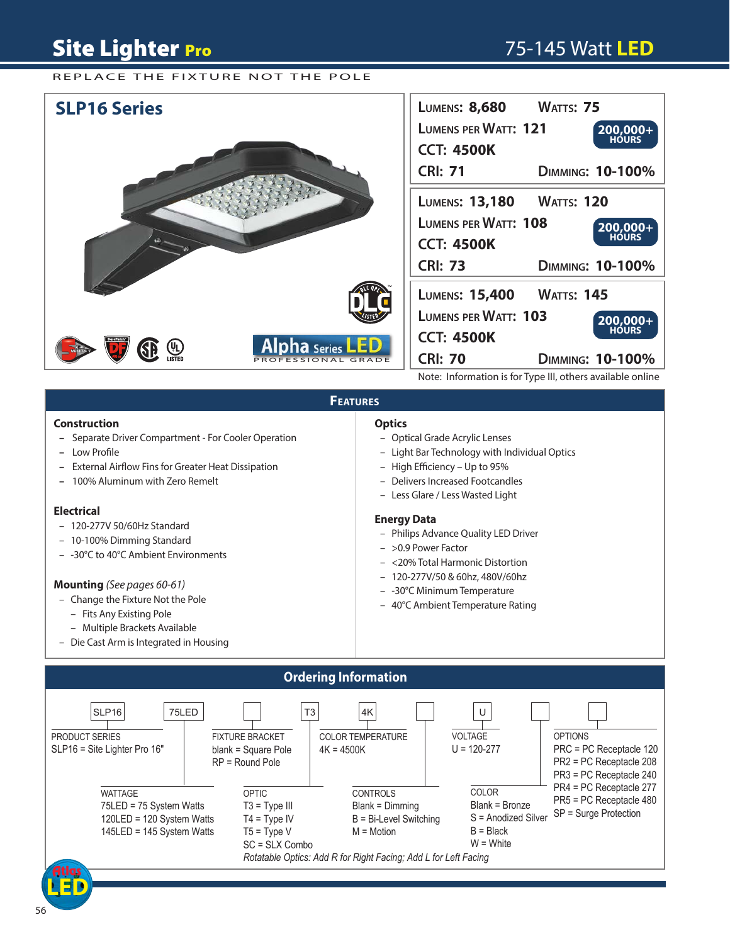## **Site Lighter Pro**

## 75-145 Watt **LED** 75-145 Watt **LED**

### REPLACE THE FIXTURE NOT THE POLE



### **FEATURES**

#### **Construction**

- Separate Driver Compartment For Cooler Operation
- Low Profile
- **-** External Airflow Fins for Greater Heat Dissipation
- 100% Aluminum with Zero Remelt

#### **Electrical**

- 120-277V 50/60Hz Standard
- 10-100% Dimming Standard
- -30°C to 40°C Ambient Environments

#### **Mounting** *(See pages 60-61)*

- Change the Fixture Not the Pole
	- Fits Any Existing Pole
	- Multiple Brackets Available
- Die Cast Arm is Integrated in Housing

## **Optics**

- Optical Grade Acrylic Lenses
- Light Bar Technology with Individual Optics
- High Efficiency Up to 95%
- Delivers Increased Footcandles
- Less Glare / Less Wasted Light

#### **Energy Data**

- Philips Advance Quality LED Driver
- >0.9 Power Factor
- <20% Total Harmonic Distortion
- 120-277V/50 & 60hz, 480V/60hz
- -30°C Minimum Temperature
- 40°C Ambient Temperature Rating